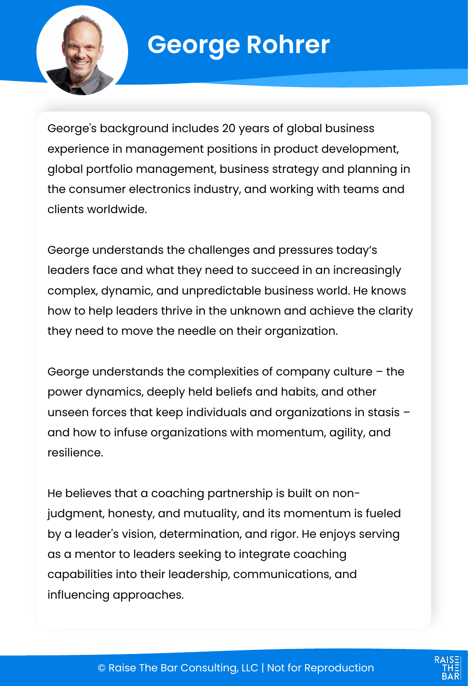

# **George Rohrer**

George's background includes 20 years of global business experience in management positions in product development, global portfolio management, business strategy and planning in the consumer electronics industry, and working with teams and clients worldwide.

George understands the challenges and pressures today's leaders face and what they need to succeed in an increasingly complex, dynamic, and unpredictable business world. He knows how to help leaders thrive in the unknown and achieve the clarity they need to move the needle on their organization.

George understands the complexities of company culture – the power dynamics, deeply held beliefs and habits, and other unseen forces that keep individuals and organizations in stasis – and how to infuse organizations with momentum, agility, and resilience.

He believes that a coaching partnership is built on nonjudgment, honesty, and mutuality, and its momentum is fueled by a leader's vision, determination, and rigor. He enjoys serving as a mentor to leaders seeking to integrate coaching capabilities into their leadership, communications, and influencing approaches.